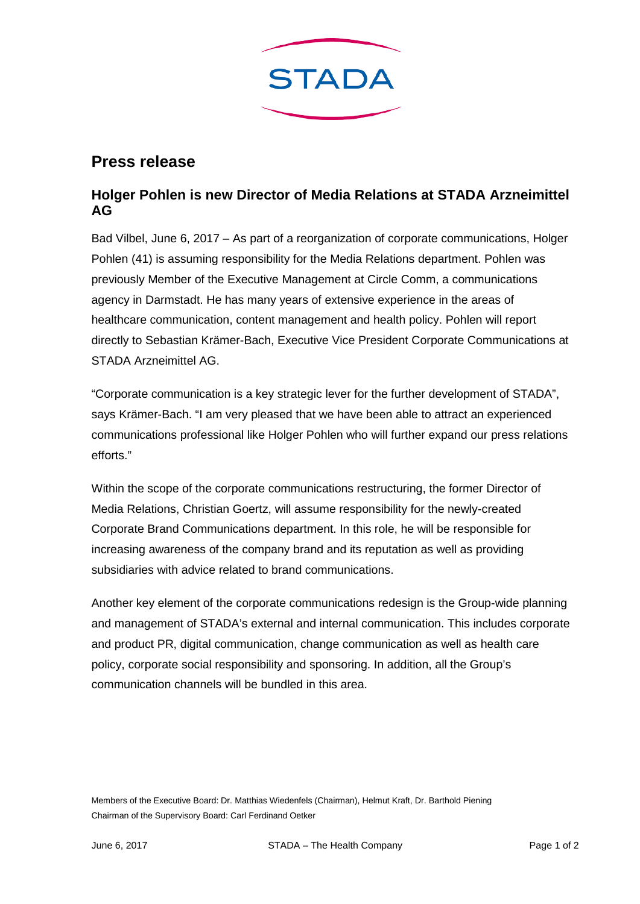

## **Press release**

## **Holger Pohlen is new Director of Media Relations at STADA Arzneimittel AG**

Bad Vilbel, June 6, 2017 – As part of a reorganization of corporate communications, Holger Pohlen (41) is assuming responsibility for the Media Relations department. Pohlen was previously Member of the Executive Management at Circle Comm, a communications agency in Darmstadt. He has many years of extensive experience in the areas of healthcare communication, content management and health policy. Pohlen will report directly to Sebastian Krämer-Bach, Executive Vice President Corporate Communications at STADA Arzneimittel AG.

"Corporate communication is a key strategic lever for the further development of STADA", says Krämer-Bach. "I am very pleased that we have been able to attract an experienced communications professional like Holger Pohlen who will further expand our press relations efforts."

Within the scope of the corporate communications restructuring, the former Director of Media Relations, Christian Goertz, will assume responsibility for the newly-created Corporate Brand Communications department. In this role, he will be responsible for increasing awareness of the company brand and its reputation as well as providing subsidiaries with advice related to brand communications.

Another key element of the corporate communications redesign is the Group-wide planning and management of STADA's external and internal communication. This includes corporate and product PR, digital communication, change communication as well as health care policy, corporate social responsibility and sponsoring. In addition, all the Group's communication channels will be bundled in this area.

Members of the Executive Board: Dr. Matthias Wiedenfels (Chairman), Helmut Kraft, Dr. Barthold Piening Chairman of the Supervisory Board: Carl Ferdinand Oetker